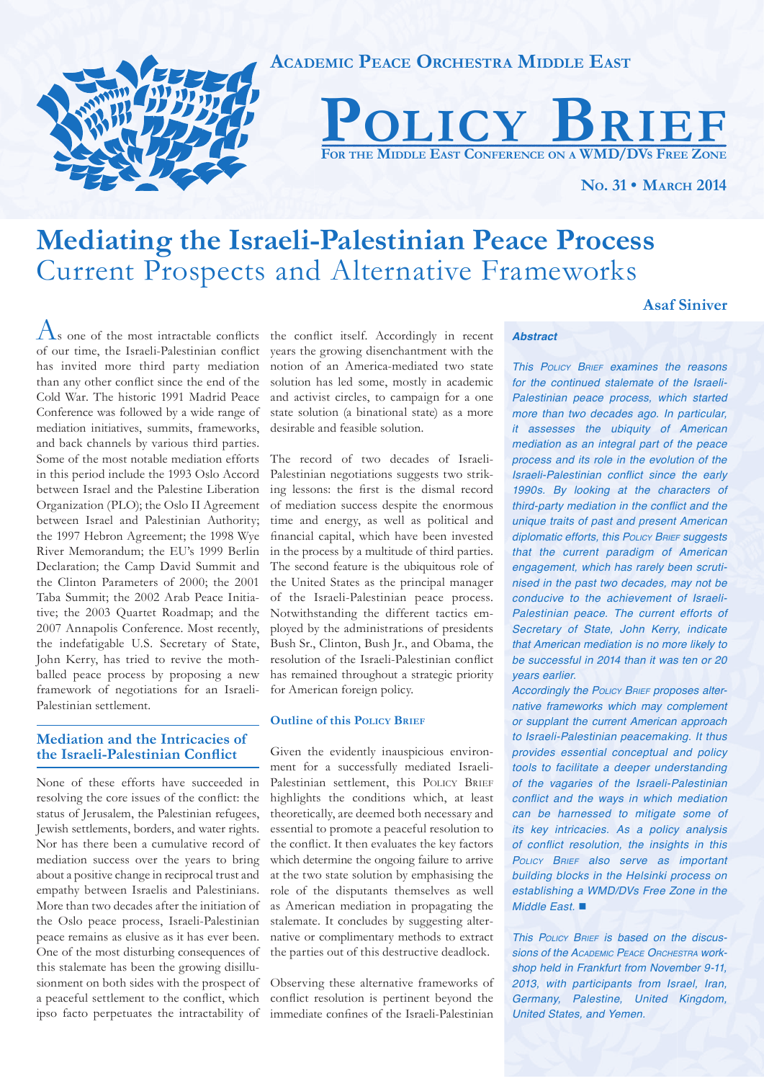

# **Mediating the Israeli-Palestinian Peace Process**  Current Prospects and Alternative Frameworks

# **Asaf Siniver**

 $\Lambda$ s one of the most intractable conflicts of our time, the Israeli-Palestinian conflict has invited more third party mediation than any other conflict since the end of the Cold War. The historic 1991 Madrid Peace Conference was followed by a wide range of mediation initiatives, summits, frameworks, and back channels by various third parties. Some of the most notable mediation efforts in this period include the 1993 Oslo Accord between Israel and the Palestine Liberation Organization (PLO); the Oslo II Agreement between Israel and Palestinian Authority; the 1997 Hebron Agreement; the 1998 Wye River Memorandum; the EU's 1999 Berlin Declaration; the Camp David Summit and the Clinton Parameters of 2000; the 2001 Taba Summit; the 2002 Arab Peace Initiative; the 2003 Quartet Roadmap; and the 2007 Annapolis Conference. Most recently, the indefatigable U.S. Secretary of State, John Kerry, has tried to revive the mothballed peace process by proposing a new framework of negotiations for an Israeli-Palestinian settlement.

# **Mediation and the Intricacies of the Israeli-Palestinian Conflict**

None of these efforts have succeeded in resolving the core issues of the conflict: the status of Jerusalem, the Palestinian refugees, Jewish settlements, borders, and water rights. Nor has there been a cumulative record of mediation success over the years to bring about a positive change in reciprocal trust and empathy between Israelis and Palestinians. More than two decades after the initiation of the Oslo peace process, Israeli-Palestinian peace remains as elusive as it has ever been. One of the most disturbing consequences of this stalemate has been the growing disillusionment on both sides with the prospect of Observing these alternative frameworks of a peaceful settlement to the conflict, which ipso facto perpetuates the intractability of immediate confines of the Israeli-Palestinian

the conflict itself. Accordingly in recent years the growing disenchantment with the notion of an America-mediated two state solution has led some, mostly in academic and activist circles, to campaign for a one state solution (a binational state) as a more desirable and feasible solution.

The record of two decades of Israeli-Palestinian negotiations suggests two striking lessons: the first is the dismal record of mediation success despite the enormous time and energy, as well as political and financial capital, which have been invested in the process by a multitude of third parties. The second feature is the ubiquitous role of the United States as the principal manager of the Israeli-Palestinian peace process. Notwithstanding the different tactics employed by the administrations of presidents Bush Sr., Clinton, Bush Jr., and Obama, the resolution of the Israeli-Palestinian conflict has remained throughout a strategic priority for American foreign policy.

#### **Outline of this POLICY BRIEF**

Given the evidently inauspicious environment for a successfully mediated Israeli-Palestinian settlement, this POLICY BRIEF highlights the conditions which, at least theoretically, are deemed both necessary and essential to promote a peaceful resolution to the conflict. It then evaluates the key factors which determine the ongoing failure to arrive at the two state solution by emphasising the role of the disputants themselves as well as American mediation in propagating the stalemate. It concludes by suggesting alternative or complimentary methods to extract the parties out of this destructive deadlock.

conflict resolution is pertinent beyond the

# *Abstract*

*This POLICY BRIEF examines the reasons for the continued stalemate of the Israeli-Palestinian peace process, which started more than two decades ago. In particular, it assesses the ubiquity of American mediation as an integral part of the peace process and its role in the evolution of the*  Israeli-Palestinian conflict since the early *1990s. By looking at the characters of*  third-party mediation in the conflict and the *unique traits of past and present American diplomatic efforts, this POLICY BRIEF suggests that the current paradigm of American engagement, which has rarely been scrutinised in the past two decades, may not be conducive to the achievement of Israeli-Palestinian peace. The current efforts of Secretary of State, John Kerry, indicate that American mediation is no more likely to be successful in 2014 than it was ten or 20 years earlier.* 

*Accordingly the POLICY BRIEF proposes alternative frameworks which may complement or supplant the current American approach to Israeli-Palestinian peacemaking. It thus provides essential conceptual and policy tools to facilitate a deeper understanding of the vagaries of the Israeli-Palestinian*  conflict and the ways in which mediation *can be harnessed to mitigate some of its key intricacies. As a policy analysis*  of conflict resolution, the insights in this *POLICY BRIEF also serve as important building blocks in the Helsinki process on establishing a WMD/DVs Free Zone in the Middle East.* ■

*This POLICY BRIEF is based on the discussions of the ACADEMIC PEACE ORCHESTRA workshop held in Frankfurt from November 9-11, 2013, with participants from Israel, Iran, Germany, Palestine, United Kingdom, United States, and Yemen.*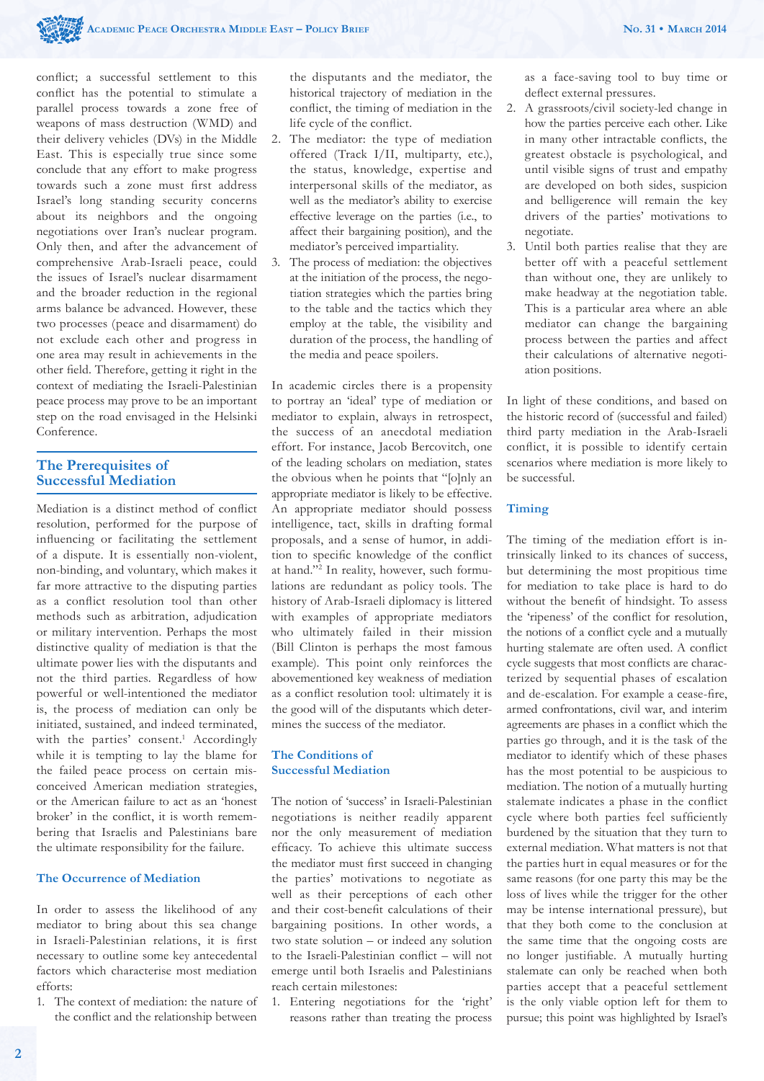conflict; a successful settlement to this conflict has the potential to stimulate a parallel process towards a zone free of weapons of mass destruction (WMD) and their delivery vehicles (DVs) in the Middle East. This is especially true since some conclude that any effort to make progress towards such a zone must first address Israel's long standing security concerns about its neighbors and the ongoing negotiations over Iran's nuclear program. Only then, and after the advancement of comprehensive Arab-Israeli peace, could the issues of Israel's nuclear disarmament and the broader reduction in the regional arms balance be advanced. However, these two processes (peace and disarmament) do not exclude each other and progress in one area may result in achievements in the other field. Therefore, getting it right in the context of mediating the Israeli-Palestinian peace process may prove to be an important step on the road envisaged in the Helsinki Conference.

# **The Prerequisites of Successful Mediation**

Mediation is a distinct method of conflict resolution, performed for the purpose of influencing or facilitating the settlement of a dispute. It is essentially non-violent, non-binding, and voluntary, which makes it far more attractive to the disputing parties as a conflict resolution tool than other methods such as arbitration, adjudication or military intervention. Perhaps the most distinctive quality of mediation is that the ultimate power lies with the disputants and not the third parties. Regardless of how powerful or well-intentioned the mediator is, the process of mediation can only be initiated, sustained, and indeed terminated, with the parties' consent.<sup>1</sup> Accordingly while it is tempting to lay the blame for the failed peace process on certain misconceived American mediation strategies, or the American failure to act as an 'honest broker' in the conflict, it is worth remembering that Israelis and Palestinians bare the ultimate responsibility for the failure.

## **The Occurrence of Mediation**

In order to assess the likelihood of any mediator to bring about this sea change in Israeli-Palestinian relations, it is first necessary to outline some key antecedental factors which characterise most mediation efforts:

1. The context of mediation: the nature of the conflict and the relationship between

the disputants and the mediator, the historical trajectory of mediation in the conflict, the timing of mediation in the life cycle of the conflict.

- 2. The mediator: the type of mediation offered (Track I/II, multiparty, etc.), the status, knowledge, expertise and interpersonal skills of the mediator, as well as the mediator's ability to exercise effective leverage on the parties (i.e., to affect their bargaining position), and the mediator's perceived impartiality.
- 3. The process of mediation: the objectives at the initiation of the process, the negotiation strategies which the parties bring to the table and the tactics which they employ at the table, the visibility and duration of the process, the handling of the media and peace spoilers.

In academic circles there is a propensity to portray an 'ideal' type of mediation or mediator to explain, always in retrospect, the success of an anecdotal mediation effort. For instance, Jacob Bercovitch, one of the leading scholars on mediation, states the obvious when he points that "[o]nly an appropriate mediator is likely to be effective. An appropriate mediator should possess intelligence, tact, skills in drafting formal proposals, and a sense of humor, in addition to specific knowledge of the conflict at hand."2 In reality, however, such formulations are redundant as policy tools. The history of Arab-Israeli diplomacy is littered with examples of appropriate mediators who ultimately failed in their mission (Bill Clinton is perhaps the most famous example). This point only reinforces the abovementioned key weakness of mediation as a conflict resolution tool: ultimately it is the good will of the disputants which determines the success of the mediator.

# **The Conditions of Successful Mediation**

The notion of 'success' in Israeli-Palestinian negotiations is neither readily apparent nor the only measurement of mediation efficacy. To achieve this ultimate success the mediator must first succeed in changing the parties' motivations to negotiate as well as their perceptions of each other and their cost-benefit calculations of their bargaining positions. In other words, a two state solution – or indeed any solution to the Israeli-Palestinian conflict – will not emerge until both Israelis and Palestinians reach certain milestones:

1. Entering negotiations for the 'right' reasons rather than treating the process as a face-saving tool to buy time or deflect external pressures.

- 2. A grassroots/civil society-led change in how the parties perceive each other. Like in many other intractable conflicts, the greatest obstacle is psychological, and until visible signs of trust and empathy are developed on both sides, suspicion and belligerence will remain the key drivers of the parties' motivations to negotiate.
- 3. Until both parties realise that they are better off with a peaceful settlement than without one, they are unlikely to make headway at the negotiation table. This is a particular area where an able mediator can change the bargaining process between the parties and affect their calculations of alternative negotiation positions.

In light of these conditions, and based on the historic record of (successful and failed) third party mediation in the Arab-Israeli conflict, it is possible to identify certain scenarios where mediation is more likely to be successful.

# **Timing**

The timing of the mediation effort is intrinsically linked to its chances of success, but determining the most propitious time for mediation to take place is hard to do without the benefit of hindsight. To assess the 'ripeness' of the conflict for resolution, the notions of a conflict cycle and a mutually hurting stalemate are often used. A conflict cycle suggests that most conflicts are characterized by sequential phases of escalation and de-escalation. For example a cease-fire, armed confrontations, civil war, and interim agreements are phases in a conflict which the parties go through, and it is the task of the mediator to identify which of these phases has the most potential to be auspicious to mediation. The notion of a mutually hurting stalemate indicates a phase in the conflict cycle where both parties feel sufficiently burdened by the situation that they turn to external mediation. What matters is not that the parties hurt in equal measures or for the same reasons (for one party this may be the loss of lives while the trigger for the other may be intense international pressure), but that they both come to the conclusion at the same time that the ongoing costs are no longer justifiable. A mutually hurting stalemate can only be reached when both parties accept that a peaceful settlement is the only viable option left for them to pursue; this point was highlighted by Israel's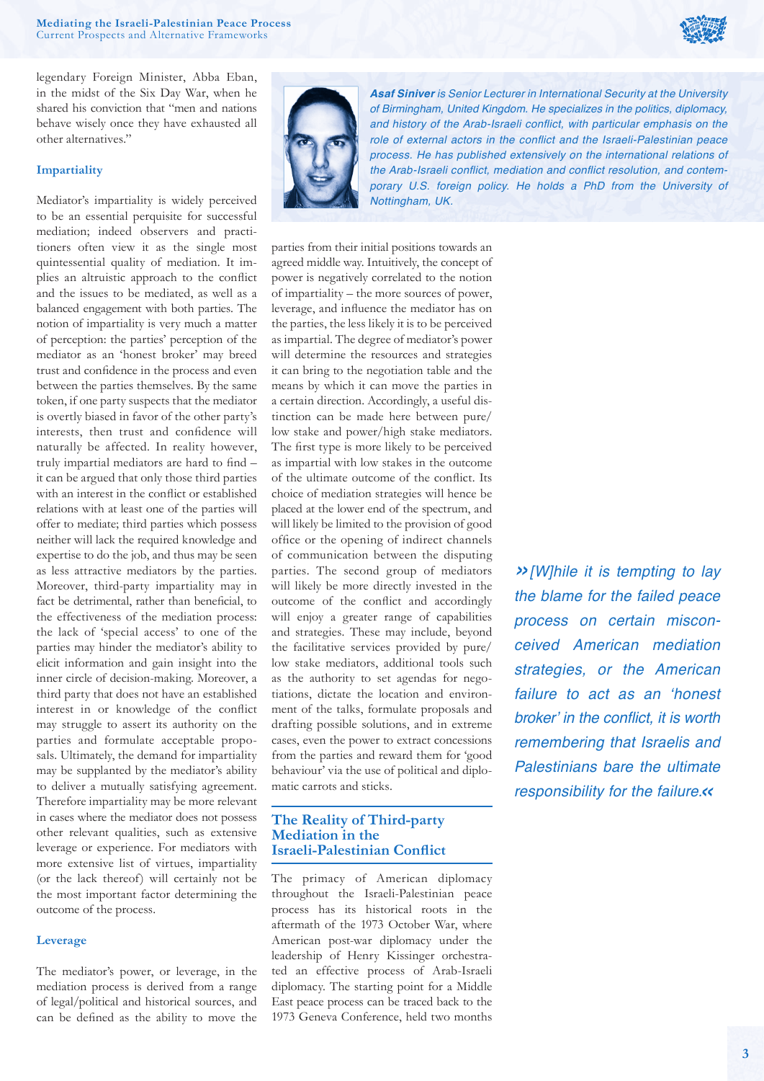

legendary Foreign Minister, Abba Eban, in the midst of the Six Day War, when he shared his conviction that "men and nations behave wisely once they have exhausted all other alternatives."

## **Impartiality**

Mediator's impartiality is widely perceived to be an essential perquisite for successful mediation; indeed observers and practitioners often view it as the single most quintessential quality of mediation. It implies an altruistic approach to the conflict and the issues to be mediated, as well as a balanced engagement with both parties. The notion of impartiality is very much a matter of perception: the parties' perception of the mediator as an 'honest broker' may breed trust and confidence in the process and even between the parties themselves. By the same token, if one party suspects that the mediator is overtly biased in favor of the other party's interests, then trust and confidence will naturally be affected. In reality however, truly impartial mediators are hard to find it can be argued that only those third parties with an interest in the conflict or established relations with at least one of the parties will offer to mediate; third parties which possess neither will lack the required knowledge and expertise to do the job, and thus may be seen as less attractive mediators by the parties. Moreover, third-party impartiality may in fact be detrimental, rather than beneficial, to the effectiveness of the mediation process: the lack of 'special access' to one of the parties may hinder the mediator's ability to elicit information and gain insight into the inner circle of decision-making. Moreover, a third party that does not have an established interest in or knowledge of the conflict may struggle to assert its authority on the parties and formulate acceptable proposals. Ultimately, the demand for impartiality may be supplanted by the mediator's ability to deliver a mutually satisfying agreement. Therefore impartiality may be more relevant in cases where the mediator does not possess other relevant qualities, such as extensive leverage or experience. For mediators with more extensive list of virtues, impartiality (or the lack thereof) will certainly not be the most important factor determining the outcome of the process.

#### **Leverage**

The mediator's power, or leverage, in the mediation process is derived from a range of legal/political and historical sources, and can be defined as the ability to move the



*Asaf Siniver is Senior Lecturer in International Security at the University of Birmingham, United Kingdom. He specializes in the politics, diplomacy,*  and history of the Arab-Israeli conflict, with particular emphasis on the role of external actors in the conflict and the Israeli-Palestinian peace *process. He has published extensively on the international relations of*  the Arab-Israeli conflict, mediation and conflict resolution, and contem*porary U.S. foreign policy. He holds a PhD from the University of Nottingham, UK.*

parties from their initial positions towards an agreed middle way. Intuitively, the concept of power is negatively correlated to the notion of impartiality – the more sources of power, leverage, and influence the mediator has on the parties, the less likely it is to be perceived as impartial. The degree of mediator's power will determine the resources and strategies it can bring to the negotiation table and the means by which it can move the parties in a certain direction. Accordingly, a useful distinction can be made here between pure/ low stake and power/high stake mediators. The first type is more likely to be perceived as impartial with low stakes in the outcome of the ultimate outcome of the conflict. Its choice of mediation strategies will hence be placed at the lower end of the spectrum, and will likely be limited to the provision of good office or the opening of indirect channels of communication between the disputing parties. The second group of mediators will likely be more directly invested in the outcome of the conflict and accordingly will enjoy a greater range of capabilities and strategies. These may include, beyond the facilitative services provided by pure/ low stake mediators, additional tools such as the authority to set agendas for negotiations, dictate the location and environment of the talks, formulate proposals and drafting possible solutions, and in extreme cases, even the power to extract concessions from the parties and reward them for 'good behaviour' via the use of political and diplomatic carrots and sticks.

# **The Reality of Third-party Mediation in the Israeli-Palestinian Conflict**

The primacy of American diplomacy throughout the Israeli-Palestinian peace process has its historical roots in the aftermath of the 1973 October War, where American post-war diplomacy under the leadership of Henry Kissinger orchestrated an effective process of Arab-Israeli diplomacy. The starting point for a Middle East peace process can be traced back to the 1973 Geneva Conference, held two months

*»[W]hile it is tempting to lay the blame for the failed peace process on certain misconceived American mediation strategies, or the American*  failure to act as an 'honest broker' in the conflict, it is worth *remembering that Israelis and Palestinians bare the ultimate responsibility for the failure.«*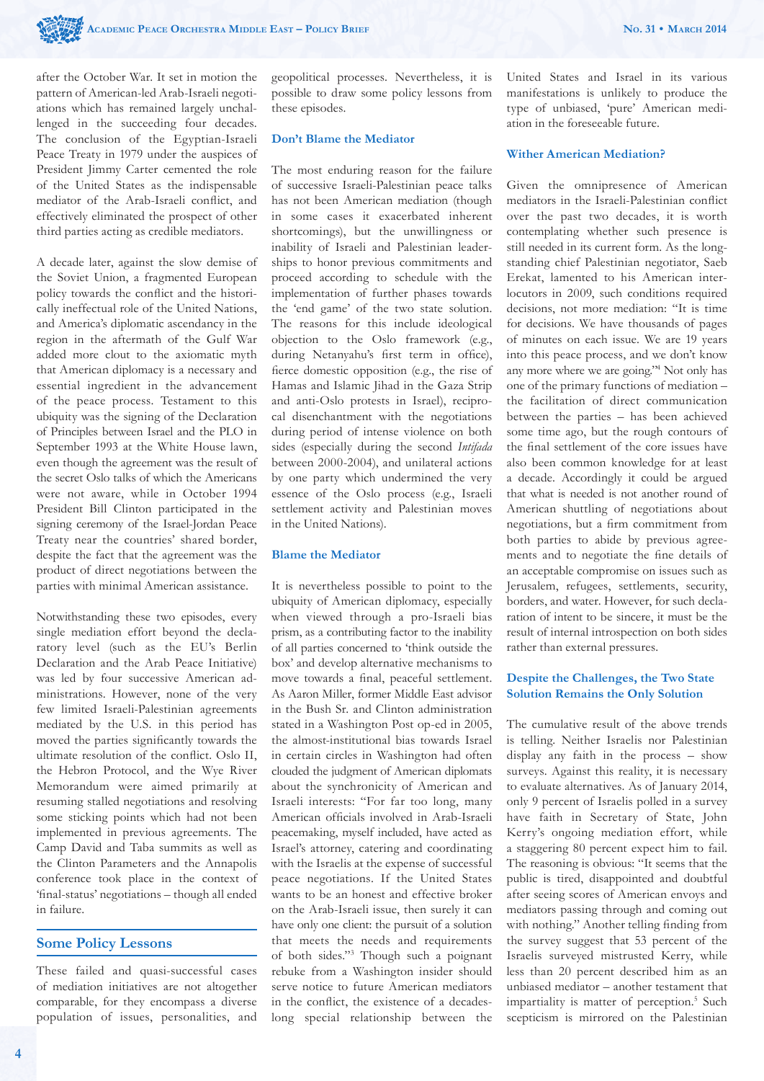after the October War. It set in motion the pattern of American-led Arab-Israeli negotiations which has remained largely unchallenged in the succeeding four decades. The conclusion of the Egyptian-Israeli Peace Treaty in 1979 under the auspices of President Jimmy Carter cemented the role of the United States as the indispensable mediator of the Arab-Israeli conflict, and effectively eliminated the prospect of other third parties acting as credible mediators.

A decade later, against the slow demise of the Soviet Union, a fragmented European policy towards the conflict and the historically ineffectual role of the United Nations, and America's diplomatic ascendancy in the region in the aftermath of the Gulf War added more clout to the axiomatic myth that American diplomacy is a necessary and essential ingredient in the advancement of the peace process. Testament to this ubiquity was the signing of the Declaration of Principles between Israel and the PLO in September 1993 at the White House lawn, even though the agreement was the result of the secret Oslo talks of which the Americans were not aware, while in October 1994 President Bill Clinton participated in the signing ceremony of the Israel-Jordan Peace Treaty near the countries' shared border, despite the fact that the agreement was the product of direct negotiations between the parties with minimal American assistance.

Notwithstanding these two episodes, every single mediation effort beyond the declaratory level (such as the EU's Berlin Declaration and the Arab Peace Initiative) was led by four successive American administrations. However, none of the very few limited Israeli-Palestinian agreements mediated by the U.S. in this period has moved the parties significantly towards the ultimate resolution of the conflict. Oslo II, the Hebron Protocol, and the Wye River Memorandum were aimed primarily at resuming stalled negotiations and resolving some sticking points which had not been implemented in previous agreements. The Camp David and Taba summits as well as the Clinton Parameters and the Annapolis conference took place in the context of 'final-status' negotiations – though all ended in failure.

# **Some Policy Lessons**

These failed and quasi-successful cases of mediation initiatives are not altogether comparable, for they encompass a diverse population of issues, personalities, and geopolitical processes. Nevertheless, it is possible to draw some policy lessons from these episodes.

## **Don't Blame the Mediator**

The most enduring reason for the failure of successive Israeli-Palestinian peace talks has not been American mediation (though in some cases it exacerbated inherent shortcomings), but the unwillingness or inability of Israeli and Palestinian leaderships to honor previous commitments and proceed according to schedule with the implementation of further phases towards the 'end game' of the two state solution. The reasons for this include ideological objection to the Oslo framework (e.g., during Netanyahu's first term in office), fierce domestic opposition (e.g., the rise of Hamas and Islamic Jihad in the Gaza Strip and anti-Oslo protests in Israel), reciprocal disenchantment with the negotiations during period of intense violence on both sides (especially during the second *Intifada* between 2000-2004), and unilateral actions by one party which undermined the very essence of the Oslo process (e.g., Israeli settlement activity and Palestinian moves in the United Nations).

# **Blame the Mediator**

It is nevertheless possible to point to the ubiquity of American diplomacy, especially when viewed through a pro-Israeli bias prism, as a contributing factor to the inability of all parties concerned to 'think outside the box' and develop alternative mechanisms to move towards a final, peaceful settlement. As Aaron Miller, former Middle East advisor in the Bush Sr. and Clinton administration stated in a Washington Post op-ed in 2005, the almost-institutional bias towards Israel in certain circles in Washington had often clouded the judgment of American diplomats about the synchronicity of American and Israeli interests: "For far too long, many American officials involved in Arab-Israeli peacemaking, myself included, have acted as Israel's attorney, catering and coordinating with the Israelis at the expense of successful peace negotiations. If the United States wants to be an honest and effective broker on the Arab-Israeli issue, then surely it can have only one client: the pursuit of a solution that meets the needs and requirements of both sides."3 Though such a poignant rebuke from a Washington insider should serve notice to future American mediators in the conflict, the existence of a decadeslong special relationship between the

United States and Israel in its various manifestations is unlikely to produce the type of unbiased, 'pure' American mediation in the foreseeable future.

#### **Wither American Mediation?**

Given the omnipresence of American mediators in the Israeli-Palestinian conflict over the past two decades, it is worth contemplating whether such presence is still needed in its current form. As the longstanding chief Palestinian negotiator, Saeb Erekat, lamented to his American interlocutors in 2009, such conditions required decisions, not more mediation: "It is time for decisions. We have thousands of pages of minutes on each issue. We are 19 years into this peace process, and we don't know any more where we are going."4 Not only has one of the primary functions of mediation – the facilitation of direct communication between the parties – has been achieved some time ago, but the rough contours of the final settlement of the core issues have also been common knowledge for at least a decade. Accordingly it could be argued that what is needed is not another round of American shuttling of negotiations about negotiations, but a firm commitment from both parties to abide by previous agreements and to negotiate the fine details of an acceptable compromise on issues such as Jerusalem, refugees, settlements, security, borders, and water. However, for such declaration of intent to be sincere, it must be the result of internal introspection on both sides rather than external pressures.

## **Despite the Challenges, the Two State Solution Remains the Only Solution**

The cumulative result of the above trends is telling. Neither Israelis nor Palestinian display any faith in the process – show surveys. Against this reality, it is necessary to evaluate alternatives. As of January 2014, only 9 percent of Israelis polled in a survey have faith in Secretary of State, John Kerry's ongoing mediation effort, while a staggering 80 percent expect him to fail. The reasoning is obvious: "It seems that the public is tired, disappointed and doubtful after seeing scores of American envoys and mediators passing through and coming out with nothing." Another telling finding from the survey suggest that 53 percent of the Israelis surveyed mistrusted Kerry, while less than 20 percent described him as an unbiased mediator – another testament that impartiality is matter of perception.<sup>5</sup> Such scepticism is mirrored on the Palestinian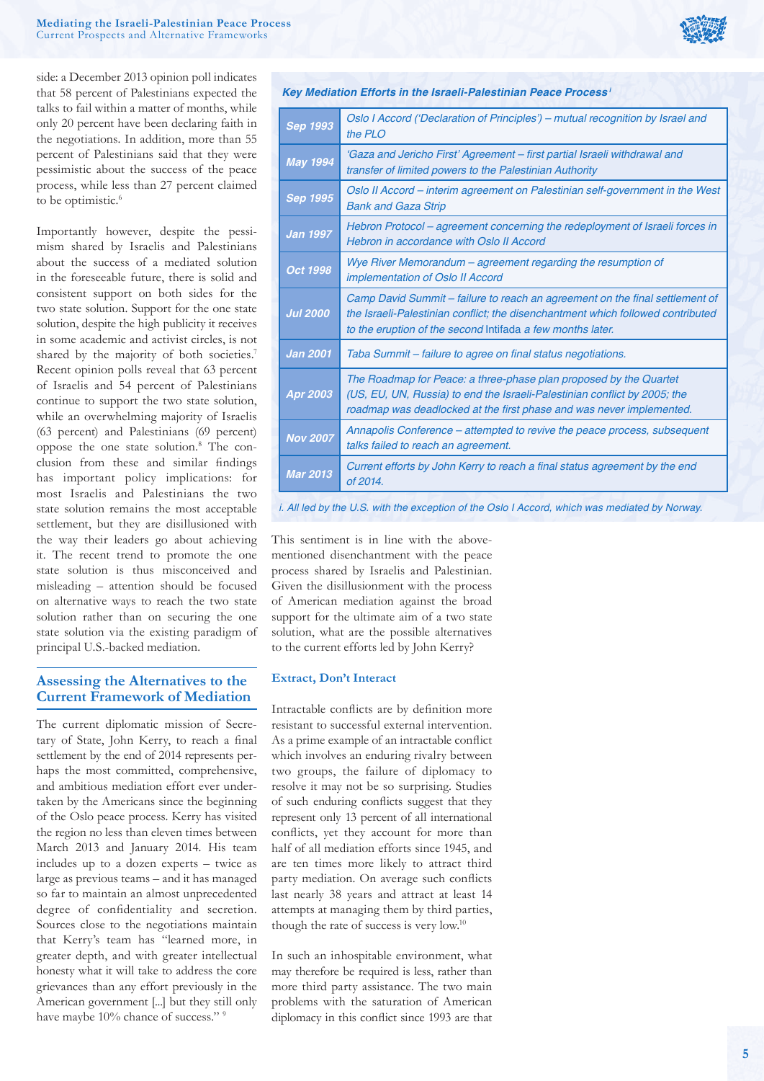side: a December 2013 opinion poll indicates that 58 percent of Palestinians expected the talks to fail within a matter of months, while only 20 percent have been declaring faith in the negotiations. In addition, more than 55 percent of Palestinians said that they were pessimistic about the success of the peace process, while less than 27 percent claimed to be optimistic.<sup>6</sup>

Importantly however, despite the pessimism shared by Israelis and Palestinians about the success of a mediated solution in the foreseeable future, there is solid and consistent support on both sides for the two state solution. Support for the one state solution, despite the high publicity it receives in some academic and activist circles, is not shared by the majority of both societies.<sup>7</sup> Recent opinion polls reveal that 63 percent of Israelis and 54 percent of Palestinians continue to support the two state solution, while an overwhelming majority of Israelis (63 percent) and Palestinians (69 percent) oppose the one state solution.8 The conclusion from these and similar findings has important policy implications: for most Israelis and Palestinians the two state solution remains the most acceptable settlement, but they are disillusioned with the way their leaders go about achieving it. The recent trend to promote the one state solution is thus misconceived and misleading – attention should be focused on alternative ways to reach the two state solution rather than on securing the one state solution via the existing paradigm of principal U.S.-backed mediation.

# **Assessing the Alternatives to the Current Framework of Mediation**

The current diplomatic mission of Secretary of State, John Kerry, to reach a final settlement by the end of 2014 represents perhaps the most committed, comprehensive, and ambitious mediation effort ever undertaken by the Americans since the beginning of the Oslo peace process. Kerry has visited the region no less than eleven times between March 2013 and January 2014. His team includes up to a dozen experts – twice as large as previous teams – and it has managed so far to maintain an almost unprecedented degree of confidentiality and secretion. Sources close to the negotiations maintain that Kerry's team has "learned more, in greater depth, and with greater intellectual honesty what it will take to address the core grievances than any effort previously in the American government [...] but they still only have maybe 10% chance of success." 9



| Key Mediation Efforts in the Israeli-Palestinian Peace Process <sup>i</sup> |                                                                                                                                                                                                                               |
|-----------------------------------------------------------------------------|-------------------------------------------------------------------------------------------------------------------------------------------------------------------------------------------------------------------------------|
| Sep 1993                                                                    | Oslo I Accord ('Declaration of Principles') – mutual recognition by Israel and<br>the PLO                                                                                                                                     |
| <b>May 1994</b>                                                             | 'Gaza and Jericho First' Agreement – first partial Israeli withdrawal and<br>transfer of limited powers to the Palestinian Authority                                                                                          |
| <b>Sep 1995</b>                                                             | Oslo II Accord – interim agreement on Palestinian self-government in the West<br><b>Bank and Gaza Strip</b>                                                                                                                   |
| <b>Jan 1997</b>                                                             | Hebron Protocol - agreement concerning the redeployment of Israeli forces in<br>Hebron in accordance with Oslo II Accord                                                                                                      |
| Oct 1998                                                                    | Wye River Memorandum - agreement regarding the resumption of<br><i>implementation of Oslo II Accord</i>                                                                                                                       |
| <b>Jul 2000</b>                                                             | Camp David Summit – failure to reach an agreement on the final settlement of<br>the Israeli-Palestinian conflict; the disenchantment which followed contributed<br>to the eruption of the second Intifada a few months later. |
| <b>Jan 2001</b>                                                             | Taba Summit - failure to agree on final status negotiations.                                                                                                                                                                  |
| Apr 2003                                                                    | The Roadmap for Peace: a three-phase plan proposed by the Quartet<br>(US, EU, UN, Russia) to end the Israeli-Palestinian conflict by 2005; the<br>roadmap was deadlocked at the first phase and was never implemented.        |
| <b>Nov 2007</b>                                                             | Annapolis Conference – attempted to revive the peace process, subsequent<br>talks failed to reach an agreement.                                                                                                               |
| <b>Mar 2013</b>                                                             | Current efforts by John Kerry to reach a final status agreement by the end<br>of 2014.                                                                                                                                        |
|                                                                             |                                                                                                                                                                                                                               |

*i. All led by the U.S. with the exception of the Oslo I Accord, which was mediated by Norway.*

This sentiment is in line with the abovementioned disenchantment with the peace process shared by Israelis and Palestinian. Given the disillusionment with the process of American mediation against the broad support for the ultimate aim of a two state solution, what are the possible alternatives to the current efforts led by John Kerry?

#### **Extract, Don't Interact**

Intractable conflicts are by definition more resistant to successful external intervention. As a prime example of an intractable conflict which involves an enduring rivalry between two groups, the failure of diplomacy to resolve it may not be so surprising. Studies of such enduring conflicts suggest that they represent only 13 percent of all international conflicts, yet they account for more than half of all mediation efforts since 1945, and are ten times more likely to attract third party mediation. On average such conflicts last nearly 38 years and attract at least 14 attempts at managing them by third parties, though the rate of success is very low.10

In such an inhospitable environment, what may therefore be required is less, rather than more third party assistance. The two main problems with the saturation of American diplomacy in this conflict since 1993 are that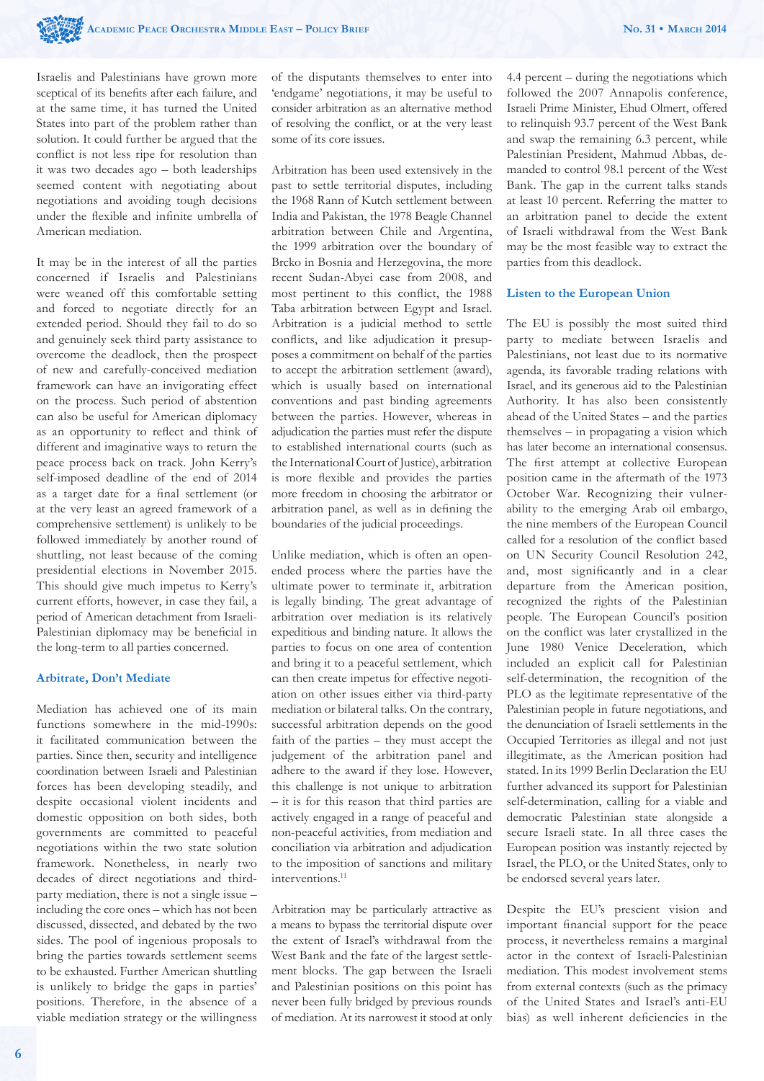Israelis and Palestinians have grown more sceptical of its benefits after each failure, and at the same time, it has turned the United States into part of the problem rather than solution. It could further be argued that the conflict is not less ripe for resolution than it was two decades ago – both leaderships seemed content with negotiating about negotiations and avoiding tough decisions under the flexible and infinite umbrella of American mediation.

It may be in the interest of all the parties concerned if Israelis and Palestinians were weaned off this comfortable setting and forced to negotiate directly for an extended period. Should they fail to do so and genuinely seek third party assistance to overcome the deadlock, then the prospect of new and carefully-conceived mediation framework can have an invigorating effect on the process. Such period of abstention can also be useful for American diplomacy as an opportunity to reflect and think of different and imaginative ways to return the peace process back on track. John Kerry's self-imposed deadline of the end of 2014 as a target date for a final settlement (or at the very least an agreed framework of a comprehensive settlement) is unlikely to be followed immediately by another round of shuttling, not least because of the coming presidential elections in November 2015. This should give much impetus to Kerry's current efforts, however, in case they fail, a period of American detachment from Israeli-Palestinian diplomacy may be beneficial in the long-term to all parties concerned.

#### **Arbitrate, Don't Mediate**

Mediation has achieved one of its main functions somewhere in the mid-1990s: it facilitated communication between the parties. Since then, security and intelligence coordination between Israeli and Palestinian forces has been developing steadily, and despite occasional violent incidents and domestic opposition on both sides, both governments are committed to peaceful negotiations within the two state solution framework. Nonetheless, in nearly two decades of direct negotiations and thirdparty mediation, there is not a single issue – including the core ones – which has not been discussed, dissected, and debated by the two sides. The pool of ingenious proposals to bring the parties towards settlement seems to be exhausted. Further American shuttling is unlikely to bridge the gaps in parties' positions. Therefore, in the absence of a viable mediation strategy or the willingness

of the disputants themselves to enter into 'endgame' negotiations, it may be useful to consider arbitration as an alternative method of resolving the conflict, or at the very least some of its core issues.

Arbitration has been used extensively in the past to settle territorial disputes, including the 1968 Rann of Kutch settlement between India and Pakistan, the 1978 Beagle Channel arbitration between Chile and Argentina, the 1999 arbitration over the boundary of Brcko in Bosnia and Herzegovina, the more recent Sudan-Abyei case from 2008, and most pertinent to this conflict, the 1988 Taba arbitration between Egypt and Israel. Arbitration is a judicial method to settle conflicts, and like adjudication it presupposes a commitment on behalf of the parties to accept the arbitration settlement (award), which is usually based on international conventions and past binding agreements between the parties. However, whereas in adjudication the parties must refer the dispute to established international courts (such as the International Court of Justice), arbitration is more flexible and provides the parties more freedom in choosing the arbitrator or arbitration panel, as well as in defining the boundaries of the judicial proceedings.

Unlike mediation, which is often an openended process where the parties have the ultimate power to terminate it, arbitration is legally binding. The great advantage of arbitration over mediation is its relatively expeditious and binding nature. It allows the parties to focus on one area of contention and bring it to a peaceful settlement, which can then create impetus for effective negotiation on other issues either via third-party mediation or bilateral talks. On the contrary, successful arbitration depends on the good faith of the parties – they must accept the judgement of the arbitration panel and adhere to the award if they lose. However, this challenge is not unique to arbitration – it is for this reason that third parties are actively engaged in a range of peaceful and non-peaceful activities, from mediation and conciliation via arbitration and adjudication to the imposition of sanctions and military interventions.<sup>11</sup>

Arbitration may be particularly attractive as a means to bypass the territorial dispute over the extent of Israel's withdrawal from the West Bank and the fate of the largest settlement blocks. The gap between the Israeli and Palestinian positions on this point has never been fully bridged by previous rounds of mediation. At its narrowest it stood at only 4.4 percent – during the negotiations which followed the 2007 Annapolis conference, Israeli Prime Minister, Ehud Olmert, offered to relinquish 93.7 percent of the West Bank and swap the remaining 6.3 percent, while Palestinian President, Mahmud Abbas, demanded to control 98.1 percent of the West Bank. The gap in the current talks stands at least 10 percent. Referring the matter to an arbitration panel to decide the extent of Israeli withdrawal from the West Bank may be the most feasible way to extract the parties from this deadlock.

#### **Listen to the European Union**

The EU is possibly the most suited third party to mediate between Israelis and Palestinians, not least due to its normative agenda, its favorable trading relations with Israel, and its generous aid to the Palestinian Authority. It has also been consistently ahead of the United States – and the parties themselves – in propagating a vision which has later become an international consensus. The first attempt at collective European position came in the aftermath of the 1973 October War. Recognizing their vulnerability to the emerging Arab oil embargo, the nine members of the European Council called for a resolution of the conflict based on UN Security Council Resolution 242, and, most significantly and in a clear departure from the American position, recognized the rights of the Palestinian people. The European Council's position on the conflict was later crystallized in the June 1980 Venice Deceleration, which included an explicit call for Palestinian self-determination, the recognition of the PLO as the legitimate representative of the Palestinian people in future negotiations, and the denunciation of Israeli settlements in the Occupied Territories as illegal and not just illegitimate, as the American position had stated. In its 1999 Berlin Declaration the EU further advanced its support for Palestinian self-determination, calling for a viable and democratic Palestinian state alongside a secure Israeli state. In all three cases the European position was instantly rejected by Israel, the PLO, or the United States, only to be endorsed several years later.

Despite the EU's prescient vision and important financial support for the peace process, it nevertheless remains a marginal actor in the context of Israeli-Palestinian mediation. This modest involvement stems from external contexts (such as the primacy of the United States and Israel's anti-EU bias) as well inherent deficiencies in the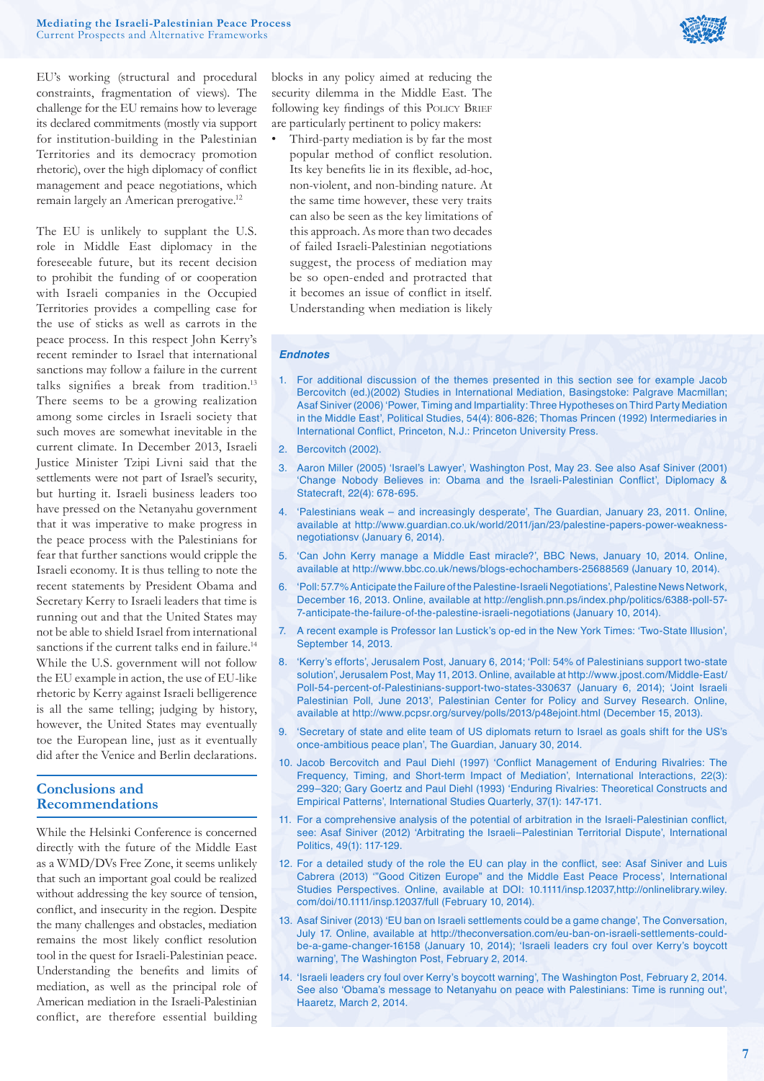

EU's working (structural and procedural constraints, fragmentation of views). The challenge for the EU remains how to leverage its declared commitments (mostly via support for institution-building in the Palestinian Territories and its democracy promotion rhetoric), over the high diplomacy of conflict management and peace negotiations, which remain largely an American prerogative.12

The EU is unlikely to supplant the U.S. role in Middle East diplomacy in the foreseeable future, but its recent decision to prohibit the funding of or cooperation with Israeli companies in the Occupied Territories provides a compelling case for the use of sticks as well as carrots in the peace process. In this respect John Kerry's recent reminder to Israel that international sanctions may follow a failure in the current talks signifies a break from tradition.<sup>13</sup> There seems to be a growing realization among some circles in Israeli society that such moves are somewhat inevitable in the current climate. In December 2013, Israeli Justice Minister Tzipi Livni said that the settlements were not part of Israel's security, but hurting it. Israeli business leaders too have pressed on the Netanyahu government that it was imperative to make progress in the peace process with the Palestinians for fear that further sanctions would cripple the Israeli economy. It is thus telling to note the recent statements by President Obama and Secretary Kerry to Israeli leaders that time is running out and that the United States may not be able to shield Israel from international sanctions if the current talks end in failure.<sup>14</sup> While the U.S. government will not follow the EU example in action, the use of EU-like rhetoric by Kerry against Israeli belligerence is all the same telling; judging by history, however, the United States may eventually toe the European line, just as it eventually did after the Venice and Berlin declarations.

# **Conclusions and Recommendations**

While the Helsinki Conference is concerned directly with the future of the Middle East as a WMD/DVs Free Zone, it seems unlikely that such an important goal could be realized without addressing the key source of tension, conflict, and insecurity in the region. Despite the many challenges and obstacles, mediation remains the most likely conflict resolution tool in the quest for Israeli-Palestinian peace. Understanding the benefits and limits of mediation, as well as the principal role of American mediation in the Israeli-Palestinian conflict, are therefore essential building blocks in any policy aimed at reducing the security dilemma in the Middle East. The following key findings of this POLICY BRIEF are particularly pertinent to policy makers:

• Third-party mediation is by far the most popular method of conflict resolution. Its key benefits lie in its flexible, ad-hoc. non-violent, and non-binding nature. At the same time however, these very traits can also be seen as the key limitations of this approach. As more than two decades of failed Israeli-Palestinian negotiations suggest, the process of mediation may be so open-ended and protracted that it becomes an issue of conflict in itself. Understanding when mediation is likely

#### *Endnotes*

- 1. For additional discussion of the themes presented in this section see for example Jacob Bercovitch (ed.)(2002) Studies in International Mediation, Basingstoke: Palgrave Macmillan; Asaf Siniver (2006) 'Power, Timing and Impartiality: Three Hypotheses on Third Party Mediation in the Middle East', Political Studies, 54(4): 806-826; Thomas Princen (1992) Intermediaries in International Conflict, Princeton, N.J.: Princeton University Press.
- 2. Bercovitch (2002).
- 3. Aaron Miller (2005) 'Israel's Lawyer', Washington Post, May 23. See also Asaf Siniver (2001) 'Change Nobody Believes in: Obama and the Israeli-Palestinian Conflict', Diplomacy & Statecraft, 22(4): 678-695.
- 4. 'Palestinians weak and increasingly desperate', The Guardian, January 23, 2011. Online, available at http://www.guardian.co.uk/world/2011/jan/23/palestine-papers-power-weaknessnegotiationsv (January 6, 2014).
- 5. 'Can John Kerry manage a Middle East miracle?', BBC News, January 10, 2014. Online, available at http://www.bbc.co.uk/news/blogs-echochambers-25688569 (January 10, 2014).
- 6. 'Poll: 57.7% Anticipate the Failure of the Palestine-Israeli Negotiations', Palestine News Network, December 16, 2013. Online, available at http://english.pnn.ps/index.php/politics/6388-poll-57- 7-anticipate-the-failure-of-the-palestine-israeli-negotiations (January 10, 2014).
- 7. A recent example is Professor Ian Lustick's op-ed in the New York Times: 'Two-State Illusion', September 14, 2013.
- 8. 'Kerry's efforts', Jerusalem Post, January 6, 2014; 'Poll: 54% of Palestinians support two-state solution', Jerusalem Post, May 11, 2013. Online, available at http://www.jpost.com/Middle-East/ Poll-54-percent-of-Palestinians-support-two-states-330637 (January 6, 2014); 'Joint Israeli Palestinian Poll, June 2013', Palestinian Center for Policy and Survey Research. Online, available at http://www.pcpsr.org/survey/polls/2013/p48ejoint.html (December 15, 2013).
- 9. 'Secretary of state and elite team of US diplomats return to Israel as goals shift for the US's once-ambitious peace plan', The Guardian, January 30, 2014.
- 10. Jacob Bercovitch and Paul Diehl (1997) 'Conflict Management of Enduring Rivalries: The Frequency, Timing, and Short-term Impact of Mediation', International Interactions, 22(3): 299–320; Gary Goertz and Paul Diehl (1993) 'Enduring Rivalries: Theoretical Constructs and Empirical Patterns', International Studies Quarterly, 37(1): 147-171.
- 11. For a comprehensive analysis of the potential of arbitration in the Israeli-Palestinian conflict, see: Asaf Siniver (2012) 'Arbitrating the Israeli–Palestinian Territorial Dispute', International Politics, 49(1): 117-129.
- 12. For a detailed study of the role the EU can play in the conflict, see: Asaf Siniver and Luis Cabrera (2013) '"Good Citizen Europe" and the Middle East Peace Process', International Studies Perspectives. Online, available at DOI: 10.1111/insp.12037,http://onlinelibrary.wiley. com/doi/10.1111/insp.12037/full (February 10, 2014).
- 13. Asaf Siniver (2013) 'EU ban on Israeli settlements could be a game change', The Conversation, July 17. Online, available at http://theconversation.com/eu-ban-on-israeli-settlements-couldbe-a-game-changer-16158 (January 10, 2014); 'Israeli leaders cry foul over Kerry's boycott warning', The Washington Post, February 2, 2014.
- 14. 'Israeli leaders cry foul over Kerry's boycott warning', The Washington Post, February 2, 2014. See also 'Obama's message to Netanyahu on peace with Palestinians: Time is running out', Haaretz, March 2, 2014.